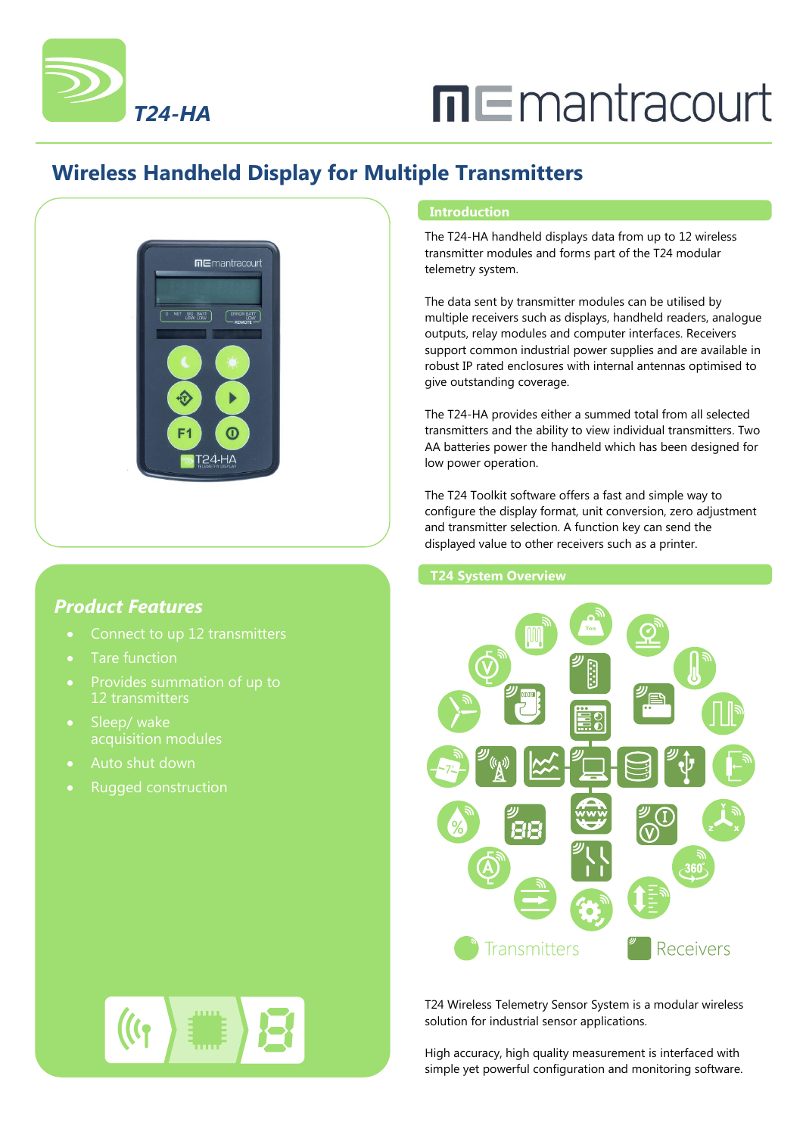

# $\Pi \sqsubseteq$ mantracourt

## **Wireless Handheld Display for Multiple Transmitters**



### *Product Features*

- 
- Tare function
- 12 transmitters
- Sleep/ wake
- Auto shut down
- Rugged construction

#### **Introduction**

The T24-HA handheld displays data from up to 12 wireless transmitter modules and forms part of the T24 modular telemetry system.

The data sent by transmitter modules can be utilised by multiple receivers such as displays, handheld readers, analogue outputs, relay modules and computer interfaces. Receivers support common industrial power supplies and are available in robust IP rated enclosures with internal antennas optimised to give outstanding coverage.

The T24-HA provides either a summed total from all selected transmitters and the ability to view individual transmitters. Two AA batteries power the handheld which has been designed for low power operation.

The T24 Toolkit software offers a fast and simple way to configure the display format, unit conversion, zero adjustment and transmitter selection. A function key can send the displayed value to other receivers such as a printer.

**T24 System Overview**



T24 Wireless Telemetry Sensor System is a modular wireless solution for industrial sensor applications.

High accuracy, high quality measurement is interfaced with simple yet powerful configuration and monitoring software.